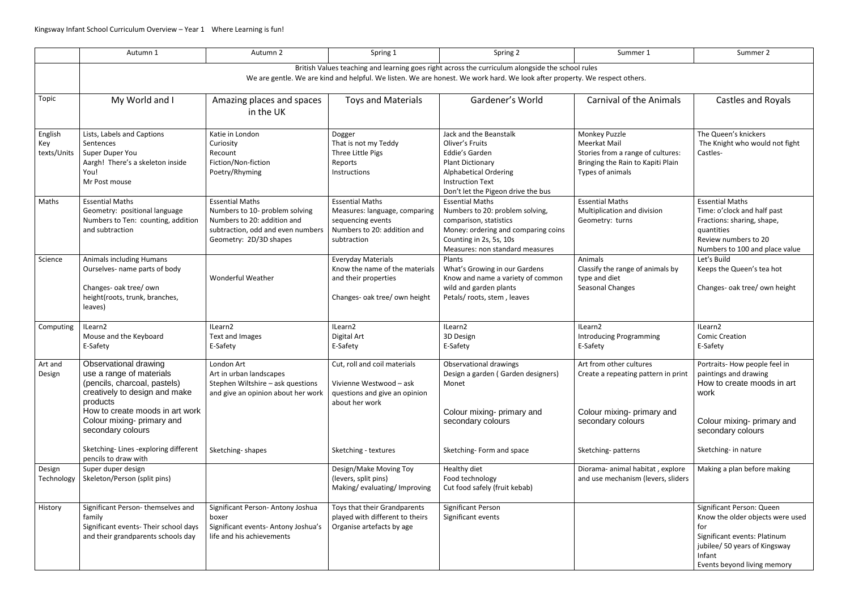|                                                                                                                                                                                                                                | Autumn 1                                                                                                                                                                                        | Autumn 2                                                                                                                                               | Spring 1                                                                                                                   | Spring 2                                                                                                                                                                                 | Summer 1                                                                                                                    | Summer 2                                                                                                                                                                       |  |  |  |  |
|--------------------------------------------------------------------------------------------------------------------------------------------------------------------------------------------------------------------------------|-------------------------------------------------------------------------------------------------------------------------------------------------------------------------------------------------|--------------------------------------------------------------------------------------------------------------------------------------------------------|----------------------------------------------------------------------------------------------------------------------------|------------------------------------------------------------------------------------------------------------------------------------------------------------------------------------------|-----------------------------------------------------------------------------------------------------------------------------|--------------------------------------------------------------------------------------------------------------------------------------------------------------------------------|--|--|--|--|
| British Values teaching and learning goes right across the curriculum alongside the school rules<br>We are gentle. We are kind and helpful. We listen. We are honest. We work hard. We look after property. We respect others. |                                                                                                                                                                                                 |                                                                                                                                                        |                                                                                                                            |                                                                                                                                                                                          |                                                                                                                             |                                                                                                                                                                                |  |  |  |  |
| Topic                                                                                                                                                                                                                          | My World and I                                                                                                                                                                                  | Amazing places and spaces<br>in the UK                                                                                                                 | <b>Toys and Materials</b>                                                                                                  | Gardener's World                                                                                                                                                                         | <b>Carnival of the Animals</b>                                                                                              | Castles and Royals                                                                                                                                                             |  |  |  |  |
| English<br>Key<br>texts/Units                                                                                                                                                                                                  | Lists, Labels and Captions<br>Sentences<br>Super Duper You<br>Aargh! There's a skeleton inside<br>You!<br>Mr Post mouse                                                                         | Katie in London<br>Curiosity<br>Recount<br>Fiction/Non-fiction<br>Poetry/Rhyming                                                                       | Dogger<br>That is not my Teddy<br>Three Little Pigs<br>Reports<br>Instructions                                             | Jack and the Beanstalk<br>Oliver's Fruits<br>Eddie's Garden<br><b>Plant Dictionary</b><br><b>Alphabetical Ordering</b><br><b>Instruction Text</b><br>Don't let the Pigeon drive the bus  | Monkey Puzzle<br>Meerkat Mail<br>Stories from a range of cultures:<br>Bringing the Rain to Kapiti Plain<br>Types of animals | The Queen's knickers<br>The Knight who would not fight<br>Castles-                                                                                                             |  |  |  |  |
| Maths                                                                                                                                                                                                                          | <b>Essential Maths</b><br>Geometry: positional language<br>Numbers to Ten: counting, addition<br>and subtraction                                                                                | <b>Essential Maths</b><br>Numbers to 10- problem solving<br>Numbers to 20: addition and<br>subtraction, odd and even numbers<br>Geometry: 2D/3D shapes | <b>Essential Maths</b><br>Measures: language, comparing<br>sequencing events<br>Numbers to 20: addition and<br>subtraction | <b>Essential Maths</b><br>Numbers to 20: problem solving,<br>comparison, statistics<br>Money: ordering and comparing coins<br>Counting in 2s, 5s, 10s<br>Measures: non standard measures | <b>Essential Maths</b><br>Multiplication and division<br>Geometry: turns                                                    | <b>Essential Maths</b><br>Time: o'clock and half past<br>Fractions: sharing, shape,<br>quantities<br>Review numbers to 20<br>Numbers to 100 and place value                    |  |  |  |  |
| Science                                                                                                                                                                                                                        | <b>Animals including Humans</b><br>Ourselves- name parts of body<br>Changes- oak tree/ own<br>height(roots, trunk, branches,<br>leaves)                                                         | <b>Wonderful Weather</b>                                                                                                                               | <b>Everyday Materials</b><br>Know the name of the materials<br>and their properties<br>Changes- oak tree/ own height       | Plants<br>What's Growing in our Gardens<br>Know and name a variety of common<br>wild and garden plants<br>Petals/roots, stem, leaves                                                     | Animals<br>Classify the range of animals by<br>type and diet<br>Seasonal Changes                                            | Let's Build<br>Keeps the Queen's tea hot<br>Changes- oak tree/ own height                                                                                                      |  |  |  |  |
| Computing                                                                                                                                                                                                                      | ILearn2<br>Mouse and the Keyboard<br>E-Safety                                                                                                                                                   | ILearn2<br><b>Text and Images</b><br>E-Safety                                                                                                          | ILearn2<br>Digital Art<br>E-Safety                                                                                         | ILearn2<br>3D Design<br>E-Safety                                                                                                                                                         | ILearn2<br><b>Introducing Programming</b><br>E-Safety                                                                       | ILearn2<br><b>Comic Creation</b><br>E-Safety                                                                                                                                   |  |  |  |  |
| Art and<br>Design                                                                                                                                                                                                              | Observational drawing<br>use a range of materials<br>(pencils, charcoal, pastels)<br>creatively to design and make<br>products<br>How to create moods in art work<br>Colour mixing- primary and | London Art<br>Art in urban landscapes<br>Stephen Wiltshire - ask questions<br>and give an opinion about her work                                       | Cut, roll and coil materials<br>Vivienne Westwood - ask<br>questions and give an opinion<br>about her work                 | Observational drawings<br>Design a garden (Garden designers)<br>Monet<br>Colour mixing- primary and<br>secondary colours                                                                 | Art from other cultures<br>Create a repeating pattern in print<br>Colour mixing- primary and<br>secondary colours           | Portraits-How people feel in<br>paintings and drawing<br>How to create moods in art<br>work<br>Colour mixing- primary and                                                      |  |  |  |  |
|                                                                                                                                                                                                                                | secondary colours<br>Sketching-Lines - exploring different<br>pencils to draw with                                                                                                              | Sketching-shapes                                                                                                                                       | Sketching - textures                                                                                                       | Sketching-Form and space                                                                                                                                                                 | Sketching-patterns                                                                                                          | secondary colours<br>Sketching- in nature                                                                                                                                      |  |  |  |  |
| Design<br>Technology                                                                                                                                                                                                           | Super duper design<br>Skeleton/Person (split pins)                                                                                                                                              |                                                                                                                                                        | Design/Make Moving Toy<br>(levers, split pins)<br>Making/evaluating/ Improving                                             | Healthy diet<br>Food technology<br>Cut food safely (fruit kebab)                                                                                                                         | Diorama- animal habitat, explore<br>and use mechanism (levers, sliders                                                      | Making a plan before making                                                                                                                                                    |  |  |  |  |
| History                                                                                                                                                                                                                        | Significant Person-themselves and<br>family<br>Significant events- Their school days<br>and their grandparents schools day                                                                      | Significant Person- Antony Joshua<br>boxer<br>Significant events- Antony Joshua's<br>life and his achievements                                         | Toys that their Grandparents<br>played with different to theirs<br>Organise artefacts by age                               | Significant Person<br>Significant events                                                                                                                                                 |                                                                                                                             | Significant Person: Queen<br>Know the older objects were used<br>for<br>Significant events: Platinum<br>jubilee/ 50 years of Kingsway<br>Infant<br>Events beyond living memory |  |  |  |  |